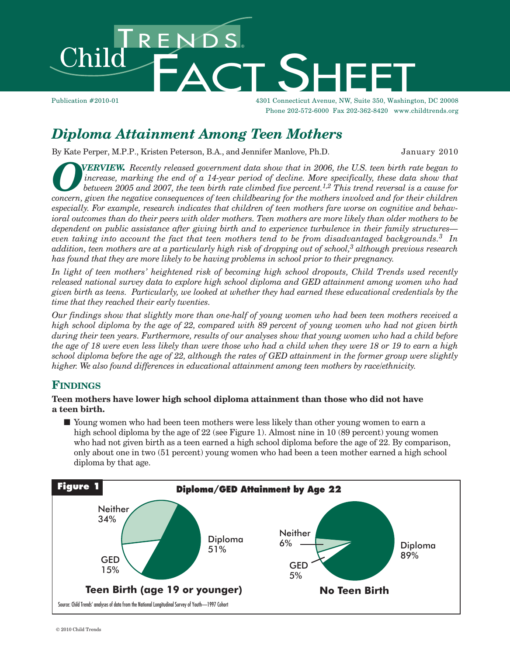

Publication #2010-01 4301 Connecticut Avenue, NW, Suite 350, Washington, DC 20008 Phone 202-572-6000 Fax 202-362-8420 www.childtrends.org

# *Diploma Attainment Among Teen Mothers*

By Kate Perper, M.P.P., Kristen Peterson, B.A., and Jennifer Manlove, Ph.D. January 2010

*OVERVIEW.* Recently released government data show that in 2006, the U.S. teen birth rate began to increase, marking the end of a 14-year period of decline. More specifically, these data show that between 2005 and 2007, th *increase, marking the end of a 14-year period of decline. More specifically, these data show that* between 2005 and 2007, the teen birth rate climbed five percent.<sup>1,2</sup> This trend reversal is a cause for *concern, given the negative consequences of teen childbearing for the mothers involved and for their children especially. For example, research indicates that children of teen mothers fare worse on cognitive and behav*ioral outcomes than do their peers with older mothers. Teen mothers are more likely than older mothers to be *dependent on public assistance after giving birth and to experience turbulence in their family structures even taking into account the fact that teen mothers tend to be from disadvantaged backgrounds. <sup>3</sup> In* addition, teen mothers are at a particularly high risk of dropping out of school, $^3$  although previous research *has found that they are more likely to be having problems in school prior to their pregnancy.*

*In light of teen mothers' heightened risk of becoming high school dropouts, Child Trends used recently released national survey data to explore high school diploma and GED attainment among women who had* given birth as teens. Particularly, we looked at whether they had earned these educational credentials by the *time that they reached their early twenties.*

Our findings show that slightly more than one-half of young women who had been teen mothers received a high school diploma by the age of 22, compared with 89 percent of young women who had not given birth during their teen years. Furthermore, results of our analyses show that young women who had a child before the age of 18 were even less likely than were those who had a child when they were 18 or 19 to earn a high school diploma before the age of 22, although the rates of GED attainment in the former group were slightly *higher. We also found differences in educational attainment among teen mothers by race/ethnicity.*

## **FINDINGS**

#### **Teen mothers have lower high school diploma attainment than those who did not have a teen birth.**

■ Young women who had been teen mothers were less likely than other young women to earn a high school diploma by the age of 22 (see Figure 1). Almost nine in 10 (89 percent) young women who had not given birth as a teen earned a high school diploma before the age of 22. By comparison, only about one in two (51 percent) young women who had been a teen mother earned a high school diploma by that age.

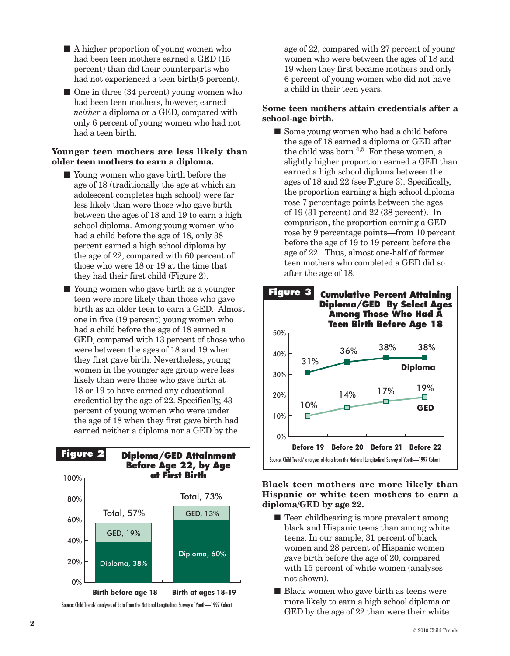- A higher proportion of young women who had been teen mothers earned a GED (15 percent) than did their counterparts who had not experienced a teen birth(5 percent).
- One in three (34 percent) young women who had been teen mothers, however, earned *neither* a diploma or a GED, compared with only 6 percent of young women who had not had a teen birth.

#### **Younger teen mothers are less likely than older teen mothers to earn a diploma.**

- Young women who gave birth before the age of 18 (traditionally the age at which an adolescent completes high school) were far less likely than were those who gave birth between the ages of 18 and 19 to earn a high school diploma. Among young women who had a child before the age of 18, only 38 percent earned a high school diploma by the age of 22, compared with 60 percent of those who were 18 or 19 at the time that they had their first child (Figure 2).
- Young women who gave birth as a younger teen were more likely than those who gave birth as an older teen to earn a GED. Almost one in five (19 percent) young women who had a child before the age of 18 earned a GED, compared with 13 percent of those who were between the ages of 18 and 19 when they first gave birth. Nevertheless, young women in the younger age group were less likely than were those who gave birth at 18 or 19 to have earned any educational credential by the age of 22. Specifically, 43 percent of young women who were under the age of 18 when they first gave birth had earned neither a diploma nor a GED by the



age of 22, compared with 27 percent of young women who were between the ages of 18 and 19 when they first became mothers and only 6 percent of young women who did not have a child in their teen years.

#### **Some teen mothers attain credentials after a school-age birth.**

■ Some young women who had a child before the age of 18 earned a diploma or GED after the child was born.<sup>4,5</sup> For these women, a slightly higher proportion earned a GED than earned a high school diploma between the ages of 18 and 22 (see Figure 3). Specifically, the proportion earning a high school diploma rose 7 percentage points between the ages of 19 (31 percent) and 22 (38 percent). In comparison, the proportion earning a GED rose by 9 percentage points—from 10 percent before the age of 19 to 19 percent before the age of 22. Thus, almost one-half of former teen mothers who completed a GED did so after the age of 18.



#### **Black teen mothers are more likely than Hispanic or white teen mothers to earn a diploma/GED by age 22.**

- Teen childbearing is more prevalent among black and Hispanic teens than among white teens. In our sample, 31 percent of black women and 28 percent of Hispanic women gave birth before the age of 20, compared with 15 percent of white women (analyses not shown).
- Black women who gave birth as teens were more likely to earn a high school diploma or GED by the age of 22 than were their white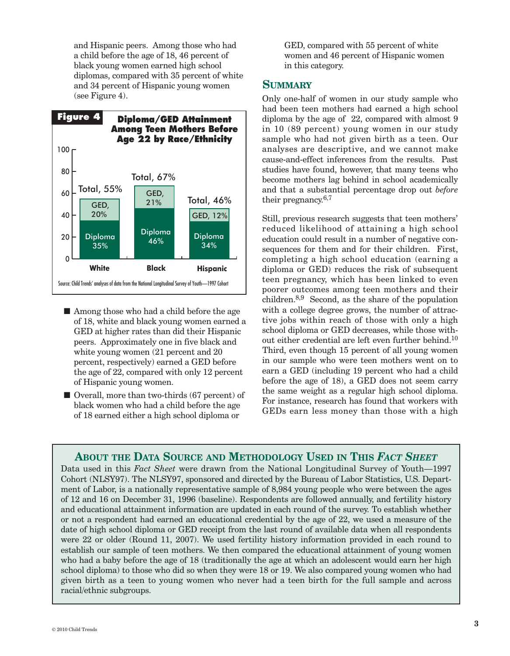and Hispanic peers. Among those who had a child before the age of 18, 46 percent of black young women earned high school diplomas, compared with 35 percent of white and 34 percent of Hispanic young women (see Figure 4).



- Among those who had a child before the age of 18, white and black young women earned a GED at higher rates than did their Hispanic peers. Approximately one in five black and white young women (21 percent and 20 percent, respectively) earned a GED before the age of 22, compared with only 12 percent of Hispanic young women.
- Overall, more than two-thirds (67 percent) of black women who had a child before the age of 18 earned either a high school diploma or

GED, compared with 55 percent of white women and 46 percent of Hispanic women in this category.

### **SUMMARY**

Only one-half of women in our study sample who had been teen mothers had earned a high school diploma by the age of 22, compared with almost 9 in 10 (89 percent) young women in our study sample who had not given birth as a teen. Our analyses are descriptive, and we cannot make cause-and-effect inferences from the results. Past studies have found, however, that many teens who become mothers lag behind in school academically and that a substantial percentage drop out *before* their pregnancy.<sup>6,7</sup>

Still, previous research suggests that teen mothers' reduced likelihood of attaining a high school education could result in a number of negative consequences for them and for their children. First, completing a high school education (earning a diploma or GED) reduces the risk of subsequent teen pregnancy, which has been linked to even poorer outcomes among teen mothers and their children. 8,9 Second, as the share of the population with a college degree grows, the number of attractive jobs within reach of those with only a high school diploma or GED decreases, while those without either credential are left even further behind. 10 Third, even though 15 percent of all young women in our sample who were teen mothers went on to earn a GED (including 19 percent who had a child before the age of 18), a GED does not seem carry the same weight as a regular high school diploma. For instance, research has found that workers with GEDs earn less money than those with a high

## **ABOUT THE DATA SOURCE AND METHODOLOGY USED IN THIS** *FACT SHEET*

Data used in this *Fact Sheet* were drawn from the National Longitudinal Survey of Youth—1997 Cohort (NLSY97). The NLSY97, sponsored and directed by the Bureau of Labor Statistics, U.S. Department of Labor, is a nationally representative sample of 8,984 young people who were between the ages of 12 and 16 on December 31, 1996 (baseline). Respondents are followed annually, and fertility history and educational attainment information are updated in each round of the survey. To establish whether or not a respondent had earned an educational credential by the age of 22, we used a measure of the date of high school diploma or GED receipt from the last round of available data when all respondents were 22 or older (Round 11, 2007). We used fertility history information provided in each round to establish our sample of teen mothers. We then compared the educational attainment of young women who had a baby before the age of 18 (traditionally the age at which an adolescent would earn her high school diploma) to those who did so when they were 18 or 19. We also compared young women who had given birth as a teen to young women who never had a teen birth for the full sample and across racial/ethnic subgroups.